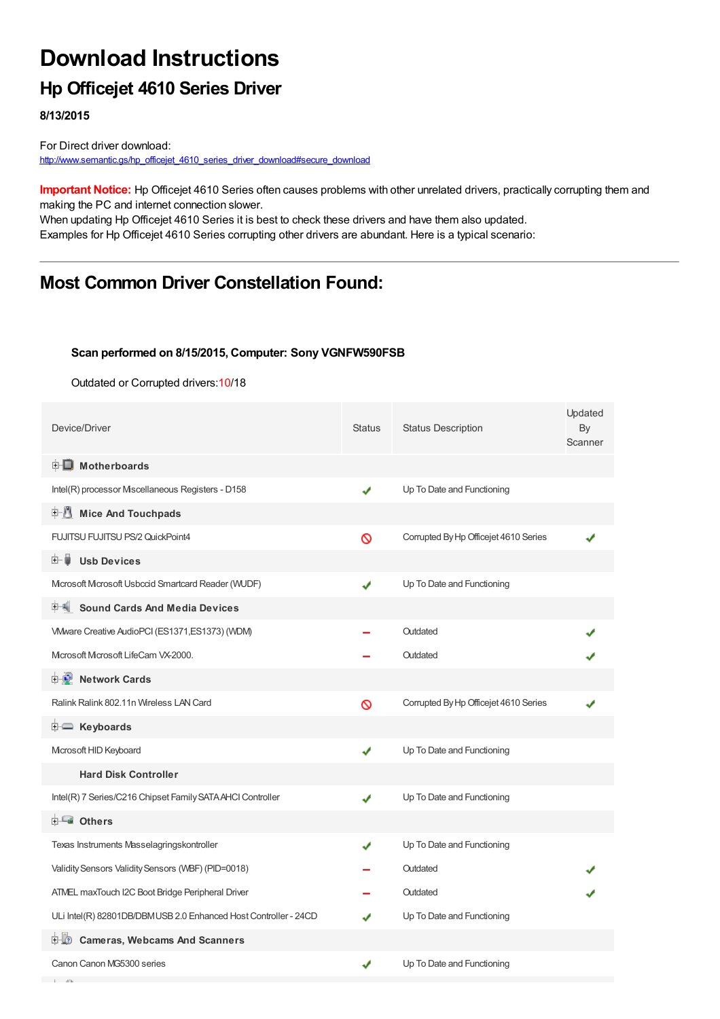# **Download Instructions**

### **Hp Officejet 4610 Series Driver**

**8/13/2015**

**Contract Contract** 

For Direct driver download: [http://www.semantic.gs/hp\\_officejet\\_4610\\_series\\_driver\\_download#secure\\_download](http://www.semantic.gs/hp_officejet_4610_series_driver_download#secure_download)

**Important Notice:** Hp Officejet 4610 Series often causes problems with other unrelated drivers, practically corrupting them and making the PC and internet connection slower.

When updating Hp Officejet 4610 Series it is best to check these drivers and have them also updated. Examples for Hp Officejet 4610 Series corrupting other drivers are abundant. Here is a typical scenario:

### **Most Common Driver Constellation Found:**

#### **Scan performed on 8/15/2015, Computer: Sony VGNFW590FSB**

Outdated or Corrupted drivers:10/18

| Device/Driver                                                   | <b>Status</b> | <b>Status Description</b>             | Updated<br>By<br>Scanner |
|-----------------------------------------------------------------|---------------|---------------------------------------|--------------------------|
| <b>E</b> Motherboards                                           |               |                                       |                          |
| Intel(R) processor Miscellaneous Registers - D158               | ✔             | Up To Date and Functioning            |                          |
| <b>Mice And Touchpads</b><br>E-11                               |               |                                       |                          |
| FUJITSU FUJITSU PS/2 QuickPoint4                                | Ø             | Corrupted By Hp Officejet 4610 Series |                          |
| <b>Usb Devices</b><br>田一鳥                                       |               |                                       |                          |
| Mcrosoft Mcrosoft Usbccid Smartcard Reader (WUDF)               | ✔             | Up To Date and Functioning            |                          |
| <b>Sound Cards And Media Devices</b><br>甲制                      |               |                                       |                          |
| VMware Creative AudioPCI (ES1371, ES1373) (WDM)                 |               | Outdated                              |                          |
| Microsoft Microsoft LifeCam VX-2000.                            |               | Outdated                              |                          |
| <b>E-D</b> Network Cards                                        |               |                                       |                          |
| Ralink Ralink 802.11n Wireless LAN Card                         | Ø             | Corrupted By Hp Officejet 4610 Series |                          |
| E Keyboards                                                     |               |                                       |                          |
| Microsoft HID Keyboard                                          | ✔             | Up To Date and Functioning            |                          |
| <b>Hard Disk Controller</b>                                     |               |                                       |                          |
| Intel(R) 7 Series/C216 Chipset Family SATA AHCI Controller      | ✔             | Up To Date and Functioning            |                          |
| <b>E</b> Others                                                 |               |                                       |                          |
| Texas Instruments Masselagringskontroller                       | ✔             | Up To Date and Functioning            |                          |
| Validity Sensors Validity Sensors (WBF) (PID=0018)              |               | Outdated                              |                          |
| ATMEL maxTouch I2C Boot Bridge Peripheral Driver                |               | Outdated                              |                          |
| ULi Intel(R) 82801DB/DBMUSB 2.0 Enhanced Host Controller - 24CD |               | Up To Date and Functioning            |                          |
| <b>D</b> Cameras, Webcams And Scanners                          |               |                                       |                          |
| Canon Canon MG5300 series                                       | ✔             | Up To Date and Functioning            |                          |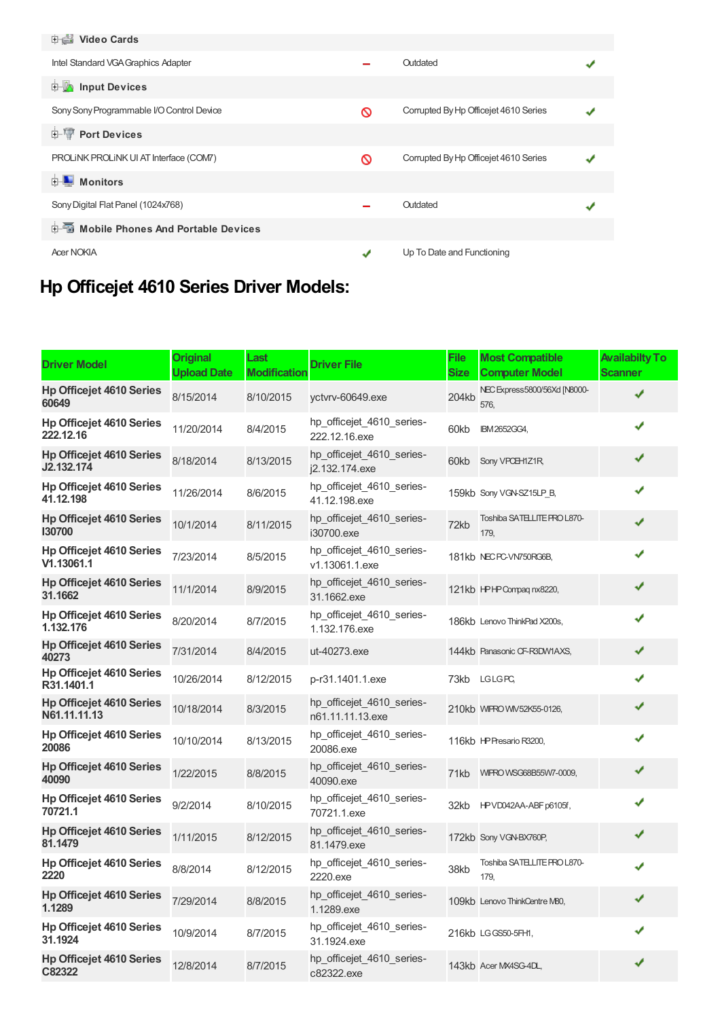| <b>Dideo Cards</b>                          |   |                                       |  |
|---------------------------------------------|---|---------------------------------------|--|
| Intel Standard VGA Graphics Adapter         |   | Outdated                              |  |
| input Devices                               |   |                                       |  |
| Sony Sony Programmable I/O Control Device   | ଷ | Corrupted By Hp Officejet 4610 Series |  |
| <b>E-</b> Port Devices                      |   |                                       |  |
| PROLINK PROLINK UI AT Interface (COM7)      | ଷ | Corrupted By Hp Officejet 4610 Series |  |
| <b>E</b> Monitors                           |   |                                       |  |
| Sony Digital Flat Panel (1024x768)          |   | Outdated                              |  |
| <b>E-Mobile Phones And Portable Devices</b> |   |                                       |  |
| <b>Acer NOKIA</b>                           | J | Up To Date and Functioning            |  |
|                                             |   |                                       |  |

## **Hp Officejet 4610 Series Driver Models:**

| <b>Driver Model</b>                             | <b>Original</b><br><b>Upload Date</b> | Last<br>Modificatior | <b>Driver File</b>                            | <b>File</b><br><b>Size</b> | <b>Most Compatible</b><br><b>Computer Model</b> | <b>Availabilty To</b><br><b>Scanner</b> |
|-------------------------------------------------|---------------------------------------|----------------------|-----------------------------------------------|----------------------------|-------------------------------------------------|-----------------------------------------|
| <b>Hp Officejet 4610 Series</b><br>60649        | 8/15/2014                             | 8/10/2015            | yctvrv-60649.exe                              | 204kb                      | NEC Express5800/56Xd [N8000-<br>576.            | J                                       |
| <b>Hp Officejet 4610 Series</b><br>222.12.16    | 11/20/2014                            | 8/4/2015             | hp_officejet_4610_series-<br>222.12.16.exe    | 60kb                       | IBM2652GG4,                                     | ✔                                       |
| <b>Hp Officejet 4610 Series</b><br>J2.132.174   | 8/18/2014                             | 8/13/2015            | hp officejet 4610 series-<br>i2.132.174.exe   | 60kb                       | Sony VPCH1Z1R,                                  | ✔                                       |
| <b>Hp Officejet 4610 Series</b><br>41.12.198    | 11/26/2014                            | 8/6/2015             | hp_officejet_4610_series-<br>41.12.198.exe    |                            | 159kb Sony VGN-SZ15LP B,                        | ✔                                       |
| <b>Hp Officejet 4610 Series</b><br>130700       | 10/1/2014                             | 8/11/2015            | hp_officejet_4610_series-<br>i30700.exe       | 72kb                       | Toshiba SATELLITE PRO L870-<br>179,             | ✔                                       |
| <b>Hp Officejet 4610 Series</b><br>V1.13061.1   | 7/23/2014                             | 8/5/2015             | hp_officejet_4610_series-<br>v1.13061.1.exe   |                            | 181kb NEC PC-VN750RG6B,                         |                                         |
| <b>Hp Officejet 4610 Series</b><br>31.1662      | 11/1/2014                             | 8/9/2015             | hp_officejet_4610_series-<br>31.1662.exe      |                            | 121kb HPHP Compaq nx8220,                       | ✔                                       |
| <b>Hp Officejet 4610 Series</b><br>1.132.176    | 8/20/2014                             | 8/7/2015             | hp officejet 4610 series-<br>1.132.176.exe    |                            | 186kb Lenovo ThinkPad X200s,                    | ✔                                       |
| <b>Hp Officejet 4610 Series</b><br>40273        | 7/31/2014                             | 8/4/2015             | ut-40273.exe                                  |                            | 144kb Panasonic CF-R3DW1AXS,                    | ✔                                       |
| <b>Hp Officejet 4610 Series</b><br>R31.1401.1   | 10/26/2014                            | 8/12/2015            | p-r31.1401.1.exe                              |                            | 73kb LGLGPC,                                    | ✔                                       |
| <b>Hp Officejet 4610 Series</b><br>N61.11.11.13 | 10/18/2014                            | 8/3/2015             | hp officejet 4610 series-<br>n61.11.11.13.exe |                            | 210kb WIPRO WV52K55-0126,                       | ✔                                       |
| <b>Hp Officejet 4610 Series</b><br>20086        | 10/10/2014                            | 8/13/2015            | hp_officejet_4610_series-<br>20086.exe        |                            | 116kb HP Presario R3200,                        | ✔                                       |
| <b>Hp Officejet 4610 Series</b><br>40090        | 1/22/2015                             | 8/8/2015             | hp_officejet_4610_series-<br>40090.exe        | 71kb                       | WIPRO WSG68B55W7-0009,                          | ✔                                       |
| <b>Hp Officejet 4610 Series</b><br>70721.1      | 9/2/2014                              | 8/10/2015            | hp_officejet_4610_series-<br>70721.1.exe      | 32kb                       | HPVD042AA-ABF p6105f,                           | ✔                                       |
| <b>Hp Officejet 4610 Series</b><br>81.1479      | 1/11/2015                             | 8/12/2015            | hp_officejet_4610_series-<br>81.1479.exe      |                            | 172kb Sony VGN-BX760P,                          | ✔                                       |
| <b>Hp Officejet 4610 Series</b><br>2220         | 8/8/2014                              | 8/12/2015            | hp_officejet_4610_series-<br>2220.exe         | 38kb                       | Toshiba SATELLITE PRO L870-<br>179.             | ✔                                       |
| <b>Hp Officejet 4610 Series</b><br>1.1289       | 7/29/2014                             | 8/8/2015             | hp_officejet_4610_series-<br>1.1289.exe       |                            | 109kb Lenovo ThinkCentre M80,                   | ✔                                       |
| <b>Hp Officejet 4610 Series</b><br>31.1924      | 10/9/2014                             | 8/7/2015             | hp_officejet_4610_series-<br>31.1924.exe      |                            | 216kb LGGS50-5FH1,                              | ✔                                       |
| <b>Hp Officejet 4610 Series</b><br>C82322       | 12/8/2014                             | 8/7/2015             | hp_officejet_4610_series-<br>c82322.exe       |                            | 143kb Acer MX4SG-4DL,                           | ✔                                       |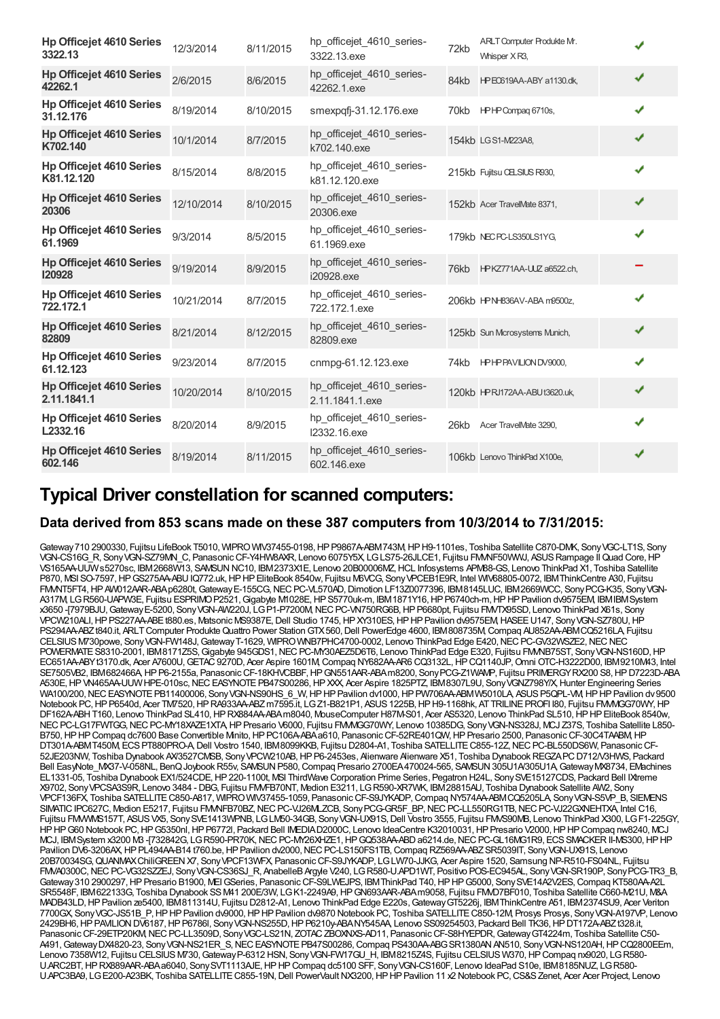| <b>Hp Officejet 4610 Series</b><br>3322.13     | 12/3/2014  | 8/11/2015 | hp_officejet_4610_series-<br>3322.13.exe     | 72kb | ARLT Computer Produkte Mr.<br>Whisper XR3, |   |
|------------------------------------------------|------------|-----------|----------------------------------------------|------|--------------------------------------------|---|
| <b>Hp Officejet 4610 Series</b><br>42262.1     | 2/6/2015   | 8/6/2015  | hp_officejet_4610_series-<br>42262.1.exe     | 84kb | HPEO619AA-ABY a1130.dk,                    | ✔ |
| <b>Hp Officejet 4610 Series</b><br>31.12.176   | 8/19/2014  | 8/10/2015 | smexpqfj-31.12.176.exe                       |      | 70kb HPHPCompag 6710s,                     | ✔ |
| <b>Hp Officejet 4610 Series</b><br>K702.140    | 10/1/2014  | 8/7/2015  | hp_officejet_4610_series-<br>k702.140.exe    |      | 154kb LGS1-M223A8,                         | ✔ |
| <b>Hp Officejet 4610 Series</b><br>K81.12.120  | 8/15/2014  | 8/8/2015  | hp officejet_4610_series-<br>k81.12.120.exe  |      | 215kb Fujitsu CELSIUS R930,                | ✔ |
| <b>Hp Officejet 4610 Series</b><br>20306       | 12/10/2014 | 8/10/2015 | hp_officejet_4610_series-<br>20306.exe       |      | 152kb Acer TravelMate 8371,                | ✔ |
| <b>Hp Officejet 4610 Series</b><br>61.1969     | 9/3/2014   | 8/5/2015  | hp_officejet_4610_series-<br>61.1969.exe     |      | 179kb NECPC-LS350LS1YG,                    | ✔ |
| <b>Hp Officejet 4610 Series</b><br>120928      | 9/19/2014  | 8/9/2015  | hp_officejet_4610_series-<br>i20928.exe      |      | 76kb HPKZ771AA-UUZ a6522.ch,               |   |
| <b>Hp Officejet 4610 Series</b><br>722.172.1   | 10/21/2014 | 8/7/2015  | hp_officejet_4610_series-<br>722.172.1.exe   |      | 206kb HPNH836AV-ABA m9500z,                | ✔ |
| <b>Hp Officejet 4610 Series</b><br>82809       | 8/21/2014  | 8/12/2015 | hp_officejet_4610_series-<br>82809.exe       |      | 125kb Sun Mcrosystems Munich,              | ✔ |
| <b>Hp Officejet 4610 Series</b><br>61.12.123   | 9/23/2014  | 8/7/2015  | cnmpg-61.12.123.exe                          | 74kb | HPHPPAVILION DV9000,                       | ✔ |
| <b>Hp Officejet 4610 Series</b><br>2.11.1841.1 | 10/20/2014 | 8/10/2015 | hp_officejet_4610_series-<br>2.11.1841.1.exe |      | 120kb HPRJ172AA-ABUt3620.uk,               | ✔ |
| <b>Hp Officejet 4610 Series</b><br>L2332.16    | 8/20/2014  | 8/9/2015  | hp officejet 4610 series-<br>I2332.16.exe    | 26kb | Acer TravelMate 3290,                      | ✔ |
| <b>Hp Officejet 4610 Series</b><br>602.146     | 8/19/2014  | 8/11/2015 | hp_officejet_4610_series-<br>602.146.exe     |      | 106kb Lenovo ThinkPad X100e,               | ✔ |

### **Typical Driver constellation for scanned computers:**

#### **Data derived from 853 scans made on these 387 computers from 10/3/2014 to 7/31/2015:**

Gateway 710 2900330, Fujitsu LifeBook T5010, WIPRO WIV37455-0198, HP P9867A-ABM743M, HP H9-1101es, Toshiba Satellite C870-DMK, Sony VGC-LT1S, Sony VGN-CS16G\_R, SonyVGN-SZ79MN\_C, PanasonicCF-Y4HW8AXR, Lenovo 6075Y5X, LGLS75-26JLCE1, Fujitsu FMVNF50WWJ, ASUSRampage IIQuad Core,HP VS165AA-UUWs5270sc, IBM2668W13, SAMSUNNC10, IBM2373X1E, Lenovo 20B00006MZ,HCL Infosystems APM88-GS, Lenovo ThinkPad X1, Toshiba Satellite P870, MSI SO-7597,HPGS275AA-ABUIQ772.uk,HPHPEliteBook 8540w, Fujitsu M6VCG, SonyVPCEB1E9R, Intel WIV68805-0072, IBMThinkCentre A30, Fujitsu FMVNT5FT4,HPAW012AAR-ABAp6280t,GatewayE-155CG,NECPC-VL570AD,Dimotion LF13Z0077396, IBM8145LUC, IBM2669WCC, SonyPCG-K35, SonyVGN-A317M, LGR560-UAPW3E, Fujitsu ESPRIMOP2521,Gigabyte M1028E,HPS5770uk-m, IBM1871Y16,HPP6740ch-m,HPHPPavilion dv9575EM, IBMIBMSystem x3650 -[7979BJU,GatewayE-5200, SonyVGN-AW220J, LGP1-P7200M,NECPC-VN750RG6B,HPP6680pt, Fujitsu FMVTX95SD, Lenovo ThinkPad X61s, Sony VPCW210ALI, HP PS227AA-ABEt880.es, Matsonic MS9387E, Dell Studio 1745, HP XY310ES, HP HP Pavilion dv9575EM, HASEE U147, Sony VGN-SZ780U, HP PS294AA-ABZt840.it, ARLT Computer Produkte Quattro Power Station GTX560, Dell PowerEdge 4600, IBM808735M, Compaq AU852AA-ABMCQ5216LA, Fujitsu CELSIUS M730powe, Sony VGN-FW148J, Gateway T-1629, WIPRO WNB7PHC4700-0002, Lenovo ThinkPad Edge E420, NEC PC-GV32WSZE2, NEC NEC POWERMATE S8310-2001, IBM8171Z5S, Gigabyte 945GDS1, NEC PC-MY30AEZ5D6T6, Lenovo ThinkPad Edge E320, Fujitsu FMMB75ST, Sony VGN-NS160D, HP EC651AA-ABYt3170.dk, Acer A7600U,GETAC9270D, Acer Aspire 1601M,Compaq NY682AA-AR6 CQ3132L,HPCQ1140JP,Omni OTC-H3222D00, IBM9210M43, Intel SE7505VB2, IBM682466A, HP P6-2155a, Panasonic CF-18KHVCBBF, HP GN551ARR-ABAm8200, Sony PCG-Z1WAVP, Fujitsu PRIMERGY RX200 S8, HP D7223D-ABA A530E,HPVN465AA-UUWHPE-010sc,NECEASYNOTEPB47S00286,HPXXX, Acer Aspire 1825PTZ, IBM8307L9U, SonyVGNZ798Y/X,Hunter Engineering Series WA100/200, NEC EASYNOTE PB11400006, Sony VGN-NS90HS\_6\_W, HP HP Pavilion dv1000, HP PW706AA-ABMW5010LA ASUS P5QPL-VM, HP HP Pavilion dv9500 Notebook PC, HP P6540d, Acer TM7520, HP RA933AA-ABZ m7595.it, LG Z1-B821P1, ASUS 1225B, HP H9-1168hk, AT TRILINE PROFI I80, Fujitsu FMM/GG70WY, HP DF162A-ABHT160, Lenovo ThinkPad SL410, HPRX884AA-ABAm8040, MouseComputer H87M-S01, Acer AS5320, Lenovo ThinkPad SL510, HPHP EliteBook 8540w, NEC PC-LG17FWTGG, NEC PC-MY18XAZE1XTA, HP Presario V6000, Fujitsu FMMGG70WY, Lenovo 10385DG, Sony VGN-NS328J, MCJ Z37S, Toshiba Satellite L850-B750, HP HP Compaq dc7600 Base Convertible Mnito, HP PC106A-ABA a610, Panasonic CF-52RE401QW, HP Presario 2500, Panasonic CF-30C4TAABM, HP DT301A-ABMT450M, ECS PT880PRO-A, Dell Vostro 1540, IBM8099KKB, Fujitsu D2804-A1, Toshiba SATELLITE C855-12Z, NEC PC-BL550DS6W, Panasonic CF-52JE203NW, Toshiba Dynabook AX/3527CMSB, SonyVPCW210AB,HPP6-2453es, Alienware Alienware X51, Toshiba DynabookREGZAPCD712/V3HWS, Packard Bell EasyNote\_MX37-V-058NL, BenQ Joybook R55v, SAMSUN P580, Compaq Presario 2700EA470024-565, SAMSUN 305U1A/305U1A, Gateway MX8734, EMachines EL1331-05, Toshiba Dynabook EX1/524CDE, HP 220-1100t, MSI ThirdWave Corporation Prime Series, Pegatron H24L, Sony SVE15127CDS, Packard Bell IXtreme X9702, SonyVPCSA3S9R, Lenovo 3484 - DBG, Fujitsu FMVFB70NT, Medion E3211, LGR590-XR7WK, IBM28815AU, Toshiba Dynabook Satellite AW2, Sony VPCF136FX, Toshiba SATELLITEC850-A817, WIPROWIV37455-1059, PanasonicCF-S9JYKADP,Compaq NY574AA-ABMCQ5205LA, SonyVGN-S5VP\_B, SIEMENS SIMATIC IPC627C, Medion E5217, Fujitsu FMMNFB70BZ, NEC PC-VJ26MLZCB, Sony PCG-GR5F\_BP, NEC PC-LL550RG1TB, NEC PC-VJ22GXNEHTXA, Intel C16, Fujitsu FMVWMS157T, ASUSVX5, SonySVE1413WPNB, LGLM50-34GB, SonyVGN-UX91S,Dell Vostro 3555, Fujitsu FMVS90MB, Lenovo ThinkPad X300, LGF1-225GY, HP HP G60 Notebook PC, HP G5350nl, HP P6772l, Packard Bell IMEDIAD2000C, Lenovo IdeaCentre K32010031, HP Presario V2000, HP HP Compaq nw8240, MCJ MCJ, IBMSystem x3200 M3 -[732842G, LGR590-PR70K, NEC PC-MY26XHZE1, HP GQ538AA-ABD a6214.de, NEC PC-GL16MG1R9, ECS SMACKER II-MS300, HP HP Pavilion DV6-3206AX, HP PL494AA-B14 t760.be, HP Pavilion dv2000, NEC PC-LS150FS1TB, Compaq RZ569AA-ABZ SR5039IT, Sony VGN-UX91S, Lenovo 20B70034SG,QUANMAXChiliGREENX7, SonyVPCF13WFX, PanasonicCF-S9JYKADP, LGLW70-JJKG, Acer Aspire 1520, Samsung NP-R510-FS04NL, Fujitsu FM/A0300C, NEC PC-VG32SZZEJ, Sony VGN-CS36SJ\_R, AnabelleB Argyle V240, LG R580-U.APD1WT, Positivo POS-EC945AL, Sony VGN-SR190P, Sony PCG-TR3\_B, Gateway 310 2900297, HP Presario B1900, MEI GSeries, Panasonic CF-S9LWEJPS, IBM ThinkPad T40, HP HP G5000, Sony SVE14A2V2ES, Compaq KT580AA-A2L SR5548F, IBM622133G, Toshiba Dynabook SS M41 200E/3W, LG K1-2249A9, HP GN693AAR-ABAm9058, Fujitsu FMAD7BF010, Toshiba Satellite C660-M21U, M&A MADB43LD,HPPavilion ze5400, IBM811314U, Fujitsu D2812-A1, Lenovo ThinkPad Edge E220s,GatewayGT5226j, IBMThinkCentre A51, IBM2374SU9, Acer Veriton 7700GX, SonyVGC-JS51B\_P,HPHPPavilion dv9000,HPHPPavilion dv9870 Notebook PC, Toshiba SATELLITEC850-12M, Prosys Prosys, SonyVGN-A197VP, Lenovo 2429BH6,HPPAVILIONDV6187,HPP6786l, SonyVGN-NS255D,HPP6210y-ABANY545AA, Lenovo SS09254503, Packard Bell TK36,HPDT172A-ABZt328.it, Panasonic CF-29ETP20KM, NEC PC-LL3509D, Sony VGC-LS21N, ZOTAC ZBOXNXS-AD11, Panasonic CF-S8HYEPDR, Gateway GT4224m, Toshiba Satellite C50-A491,GatewayDX4820-23, SonyVGN-NS21ER\_S,NECEASYNOTEPB47S00286,Compaq PS430AA-ABGSR1380ANAN510, SonyVGN-NS120AH,HPCQ2800EEm, Lenovo 7358W12, Fujitsu CELSIUS M730, Gateway P-6312 HSN, Sony VGN-FW17GU\_H, IBM8215Z4S, Fujitsu CELSIUS W370, HP Compaq nx9020, LG R580-U.ARC2BT,HPRX889AAR-ABAa6040, SonySVT1113AJE,HPHPCompaq dc5100 SFF, SonyVGN-CS160F, Lenovo IdeaPad S10e, IBM8185NUZ, LGR580- U.APC3BA9, LG E200-A23BK, Toshiba SATELLITE C855-19N, Dell PowerVault NX3200, HP HP Pavilion 11 x2 Notebook PC, CS&S Zenet, Acer Acer Project, Lenovo